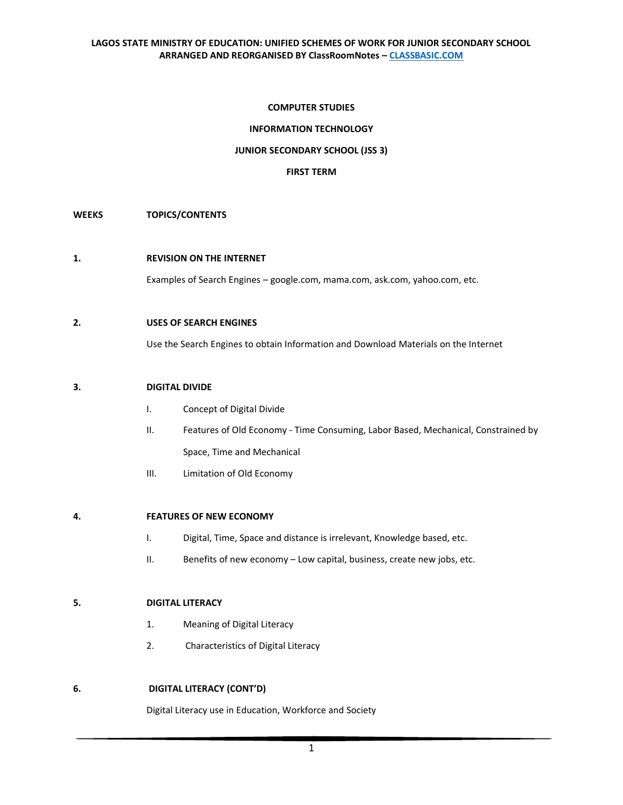## **COMPUTER STUDIES**

# **INFORMATION TECHNOLOGY**

# **JUNIOR SECONDARY SCHOOL (JSS 3)**

#### **FIRST TERM**

### **WEEKS TOPICS/CONTENTS**

### **1. REVISION ON THE INTERNET**

Examples of Search Engines – google.com, mama.com, ask.com, yahoo.com, etc.

### **2. USES OF SEARCH ENGINES**

Use the Search Engines to obtain Information and Download Materials on the Internet

### **3. DIGITAL DIVIDE**

- I. Concept of Digital Divide
- II. Features of Old Economy Time Consuming, Labor Based, Mechanical, Constrained by Space, Time and Mechanical
- III. Limitation of Old Economy

#### **4. FEATURES OF NEW ECONOMY**

- I. Digital, Time, Space and distance is irrelevant, Knowledge based, etc.
- II. Benefits of new economy Low capital, business, create new jobs, etc.

## **5. DIGITAL LITERACY**

- 1. Meaning of Digital Literacy
- 2. Characteristics of Digital Literacy

## **6. DIGITAL LITERACY (CONT'D)**

Digital Literacy use in Education, Workforce and Society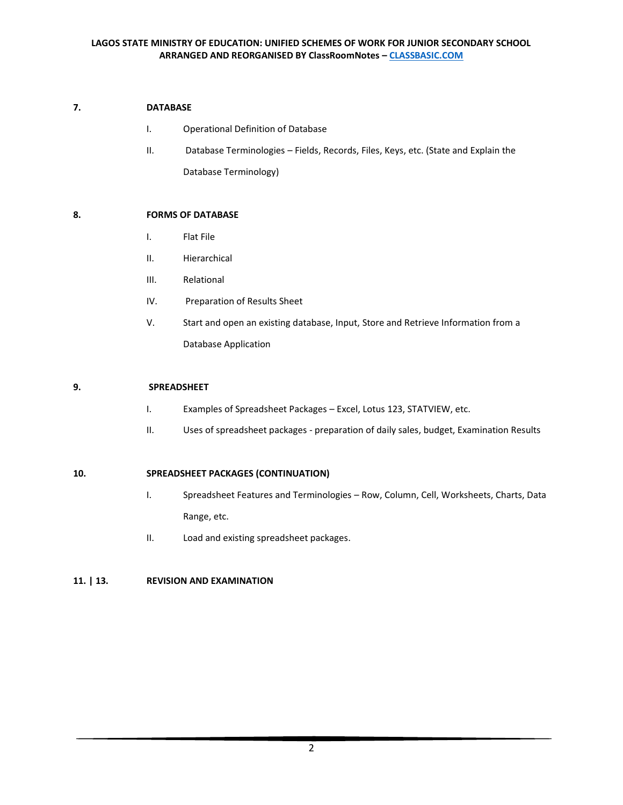# **7. DATABASE**

- I. Operational Definition of Database
- II. Database Terminologies Fields, Records, Files, Keys, etc. (State and Explain the Database Terminology)

# **8. FORMS OF DATABASE**

- I. Flat File
- II. Hierarchical
- III. Relational
- IV. Preparation of Results Sheet
- V. Start and open an existing database, Input, Store and Retrieve Information from a Database Application

## **9. SPREADSHEET**

- I. Examples of Spreadsheet Packages Excel, Lotus 123, STATVIEW, etc.
- II. Uses of spreadsheet packages preparation of daily sales, budget, Examination Results

## **10. SPREADSHEET PACKAGES (CONTINUATION)**

- I. Spreadsheet Features and Terminologies Row, Column, Cell, Worksheets, Charts, Data Range, etc.
- II. Load and existing spreadsheet packages.

# **11. | 13. REVISION AND EXAMINATION**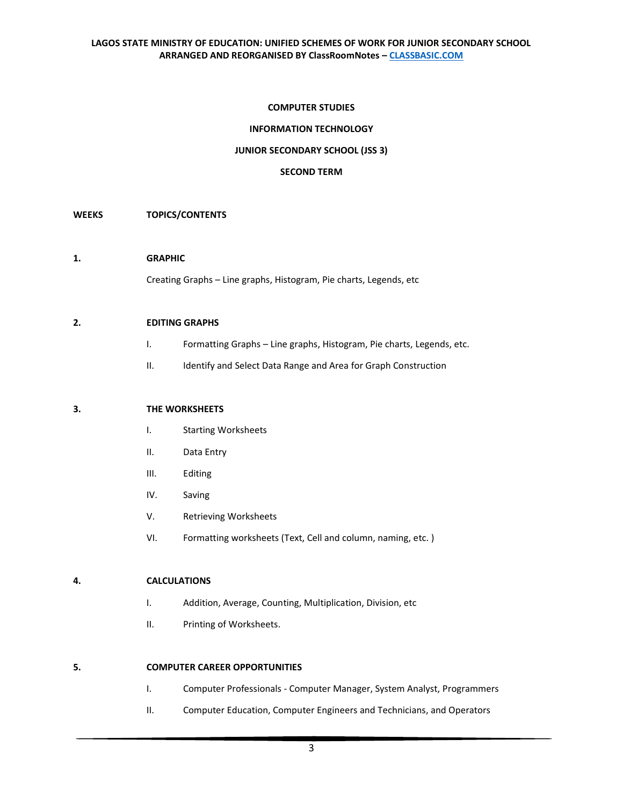### **COMPUTER STUDIES**

## **INFORMATION TECHNOLOGY**

## **JUNIOR SECONDARY SCHOOL (JSS 3)**

#### **SECOND TERM**

### **WEEKS TOPICS/CONTENTS**

#### **1. GRAPHIC**

Creating Graphs – Line graphs, Histogram, Pie charts, Legends, etc

#### **2. EDITING GRAPHS**

- I. Formatting Graphs Line graphs, Histogram, Pie charts, Legends, etc.
- II. Identify and Select Data Range and Area for Graph Construction

### **3. THE WORKSHEETS**

- I. Starting Worksheets
- II. Data Entry
- III. Editing
- IV. Saving
- V. Retrieving Worksheets
- VI. Formatting worksheets (Text, Cell and column, naming, etc. )

## **4. CALCULATIONS**

- I. Addition, Average, Counting, Multiplication, Division, etc
- II. Printing of Worksheets.

#### **5. COMPUTER CAREER OPPORTUNITIES**

- I. Computer Professionals Computer Manager, System Analyst, Programmers
- II. Computer Education, Computer Engineers and Technicians, and Operators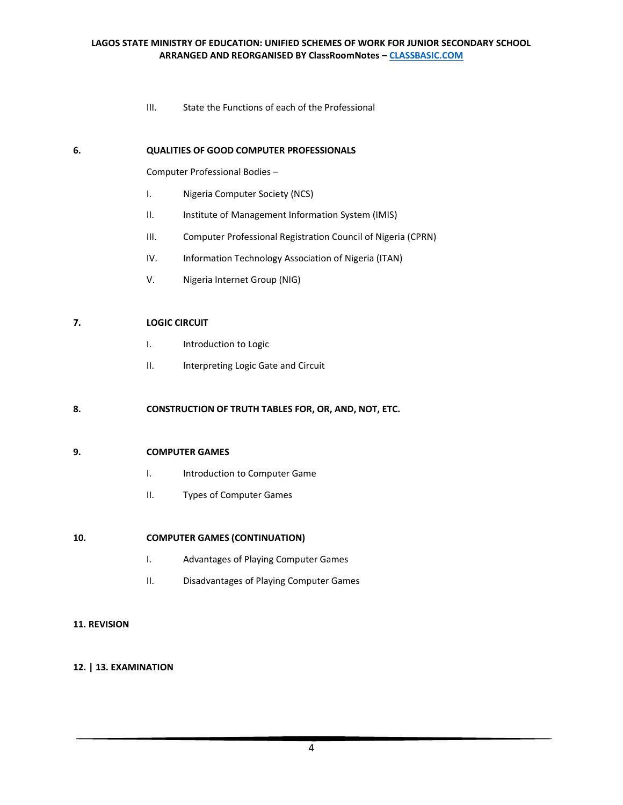# **LAGOS STATE MINISTRY OF EDUCATION: UNIFIED SCHEMES OF WORK FOR JUNIOR SECONDARY SCHOOL ARRANGED AND REORGANISED BY ClassRoomNotes – [CLASSBASIC.COM](http://classbasic.com/)**

III. State the Functions of each of the Professional

## **6. QUALITIES OF GOOD COMPUTER PROFESSIONALS**

Computer Professional Bodies –

- I. Nigeria Computer Society (NCS)
- II. Institute of Management Information System (IMIS)
- III. Computer Professional Registration Council of Nigeria (CPRN)
- IV. Information Technology Association of Nigeria (ITAN)
- V. Nigeria Internet Group (NIG)

### **7. LOGIC CIRCUIT**

- I. Introduction to Logic
- II. Interpreting Logic Gate and Circuit

## **8. CONSTRUCTION OF TRUTH TABLES FOR, OR, AND, NOT, ETC.**

#### **9. COMPUTER GAMES**

- I. Introduction to Computer Game
- II. Types of Computer Games

## **10. COMPUTER GAMES (CONTINUATION)**

- I. Advantages of Playing Computer Games
- II. Disadvantages of Playing Computer Games

### **11. REVISION**

## **12. | 13. EXAMINATION**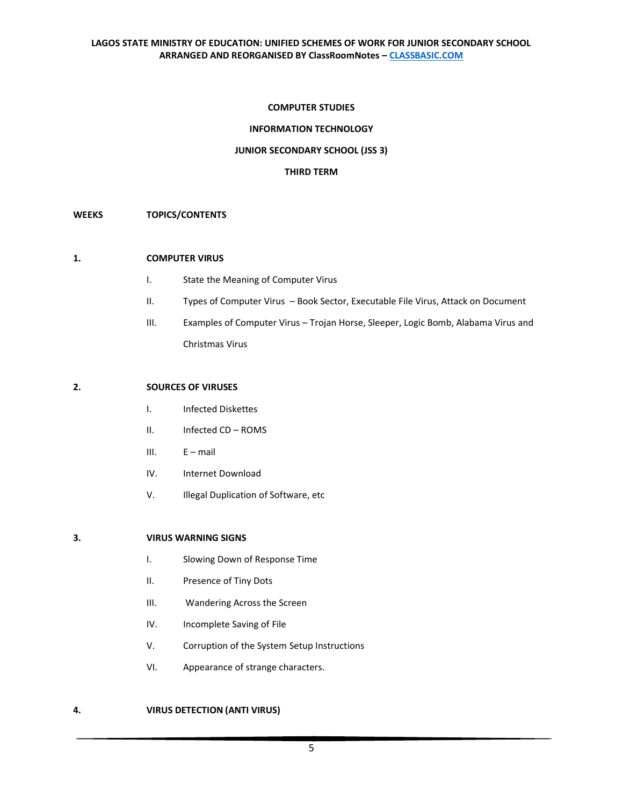## **COMPUTER STUDIES**

# **INFORMATION TECHNOLOGY**

# **JUNIOR SECONDARY SCHOOL (JSS 3)**

#### **THIRD TERM**

## **WEEKS TOPICS/CONTENTS**

#### **1. COMPUTER VIRUS**

- I. State the Meaning of Computer Virus
- II. Types of Computer Virus Book Sector, Executable File Virus, Attack on Document
- III. Examples of Computer Virus Trojan Horse, Sleeper, Logic Bomb, Alabama Virus and Christmas Virus

### **2. SOURCES OF VIRUSES**

- I. Infected Diskettes
- II. Infected CD ROMS
- III. E mail
- IV. Internet Download
- V. Illegal Duplication of Software, etc

## **3. VIRUS WARNING SIGNS**

- I. Slowing Down of Response Time
- II. Presence of Tiny Dots
- III. Wandering Across the Screen
- IV. Incomplete Saving of File
- V. Corruption of the System Setup Instructions
- VI. Appearance of strange characters.

# **4. VIRUS DETECTION (ANTI VIRUS)**